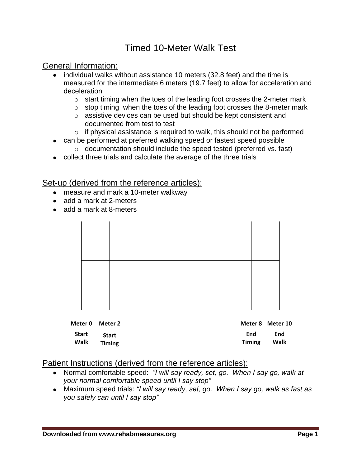## Timed 10-Meter Walk Test

### General Information:

- individual walks without assistance 10 meters (32.8 feet) and the time is measured for the intermediate 6 meters (19.7 feet) to allow for acceleration and deceleration
	- o start timing when the toes of the leading foot crosses the 2-meter mark
	- $\circ$  stop timing when the toes of the leading foot crosses the 8-meter mark
	- o assistive devices can be used but should be kept consistent and documented from test to test
	- $\circ$  if physical assistance is required to walk, this should not be performed
- can be performed at preferred walking speed or fastest speed possible
	- o documentation should include the speed tested (preferred vs. fast)
- collect three trials and calculate the average of the three trials

#### Set-up (derived from the reference articles):

- measure and mark a 10-meter walkway
- add a mark at 2-meters
- add a mark at 8-meters

| Meter 0<br><b>Start</b><br>Walk | Meter 2<br><b>Start</b><br><b>Timing</b> | End<br><b>Timing</b> | Meter 8 Meter 10<br>End<br>Walk |
|---------------------------------|------------------------------------------|----------------------|---------------------------------|

#### Patient Instructions (derived from the reference articles):

- Normal comfortable speed: *"I will say ready, set, go. When I say go, walk at your normal comfortable speed until I say stop"*
- Maximum speed trials: *"I will say ready, set, go. When I say go, walk as fast as you safely can until I say stop"*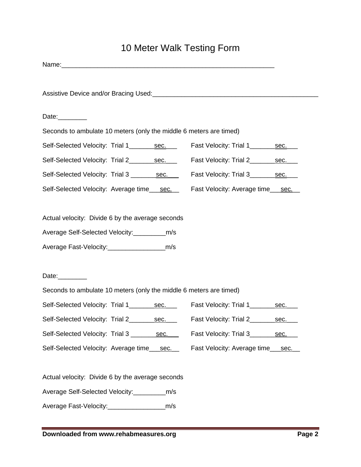# 10 Meter Walk Testing Form

| Seconds to ambulate 10 meters (only the middle 6 meters are timed)                                                                                                             |  |  |  |  |
|--------------------------------------------------------------------------------------------------------------------------------------------------------------------------------|--|--|--|--|
|                                                                                                                                                                                |  |  |  |  |
|                                                                                                                                                                                |  |  |  |  |
|                                                                                                                                                                                |  |  |  |  |
|                                                                                                                                                                                |  |  |  |  |
|                                                                                                                                                                                |  |  |  |  |
| Date:_________<br>Seconds to ambulate 10 meters (only the middle 6 meters are timed)<br>Self-Selected Velocity: Trial 1_________ sec.<br>Fast Velocity: Trial 1_______<br>sec. |  |  |  |  |
|                                                                                                                                                                                |  |  |  |  |
|                                                                                                                                                                                |  |  |  |  |
|                                                                                                                                                                                |  |  |  |  |
|                                                                                                                                                                                |  |  |  |  |
|                                                                                                                                                                                |  |  |  |  |